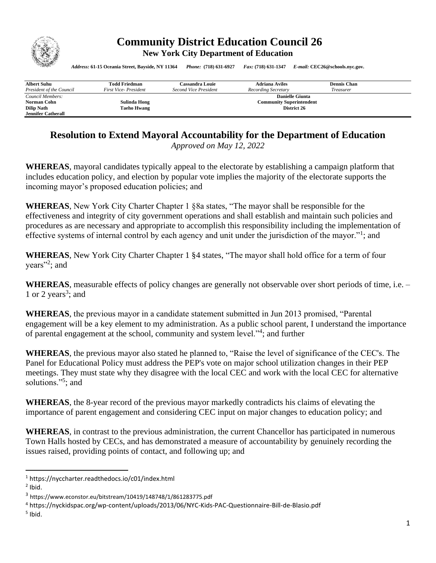

## **Community District Education Council 26 New York City Department of Education**

*Address:* **61-15 Oceania Street, Bayside, NY 11364** *Phone:* **(718) 631-6927** *Fax:* **(718) 631-1347** *E-mail:* **CEC26@schools.nyc.gov.**

| <b>Albert Suhu</b>        | Todd Friedman        | Cassandra Louie                 | <b>Adriana Aviles</b> | <b>Dennis Chan</b> |  |
|---------------------------|----------------------|---------------------------------|-----------------------|--------------------|--|
| President of the Council  | First Vice-President | Second Vice President           | Recording Secretary   | Treasurer          |  |
| Council Members:          |                      | <b>Danielle Giunta</b>          |                       |                    |  |
| Norman Cohn               | Sulinda Hong         | <b>Community Superintendent</b> |                       |                    |  |
| <b>Dilip Nath</b>         | <b>Taeho Hwang</b>   |                                 | District 26           |                    |  |
| <b>Jennifer Catherall</b> |                      |                                 |                       |                    |  |

## **Resolution to Extend Mayoral Accountability for the Department of Education**

*Approved on May 12, 2022* 

**WHEREAS**, mayoral candidates typically appeal to the electorate by establishing a campaign platform that includes education policy, and election by popular vote implies the majority of the electorate supports the incoming mayor's proposed education policies; and

**WHEREAS**, New York City Charter Chapter 1 §8a states, "The mayor shall be responsible for the effectiveness and integrity of city government operations and shall establish and maintain such policies and procedures as are necessary and appropriate to accomplish this responsibility including the implementation of effective systems of internal control by each agency and unit under the jurisdiction of the mayor."<sup>1</sup>; and

**WHEREAS**, New York City Charter Chapter 1 §4 states, "The mayor shall hold office for a term of four years"<sup>2</sup>; and

**WHEREAS**, measurable effects of policy changes are generally not observable over short periods of time, i.e. – 1 or 2 years<sup>3</sup>; and

**WHEREAS**, the previous mayor in a candidate statement submitted in Jun 2013 promised, "Parental engagement will be a key element to my administration. As a public school parent, I understand the importance of parental engagement at the school, community and system level."<sup>4</sup>; and further

**WHEREAS**, the previous mayor also stated he planned to, "Raise the level of significance of the CEC's. The Panel for Educational Policy must address the PEP's vote on major school utilization changes in their PEP meetings. They must state why they disagree with the local CEC and work with the local CEC for alternative solutions."<sup>5</sup> ; and

**WHEREAS**, the 8-year record of the previous mayor markedly contradicts his claims of elevating the importance of parent engagement and considering CEC input on major changes to education policy; and

**WHEREAS**, in contrast to the previous administration, the current Chancellor has participated in numerous Town Halls hosted by CECs, and has demonstrated a measure of accountability by genuinely recording the issues raised, providing points of contact, and following up; and

<sup>1</sup> https://nyccharter.readthedocs.io/c01/index.html

 $<sup>2</sup>$  Ibid.</sup>

 $3$  https://www.econstor.eu/bitstream/10419/148748/1/861283775.pdf

<sup>4</sup> https://nyckidspac.org/wp-content/uploads/2013/06/NYC-Kids-PAC-Questionnaire-Bill-de-Blasio.pdf